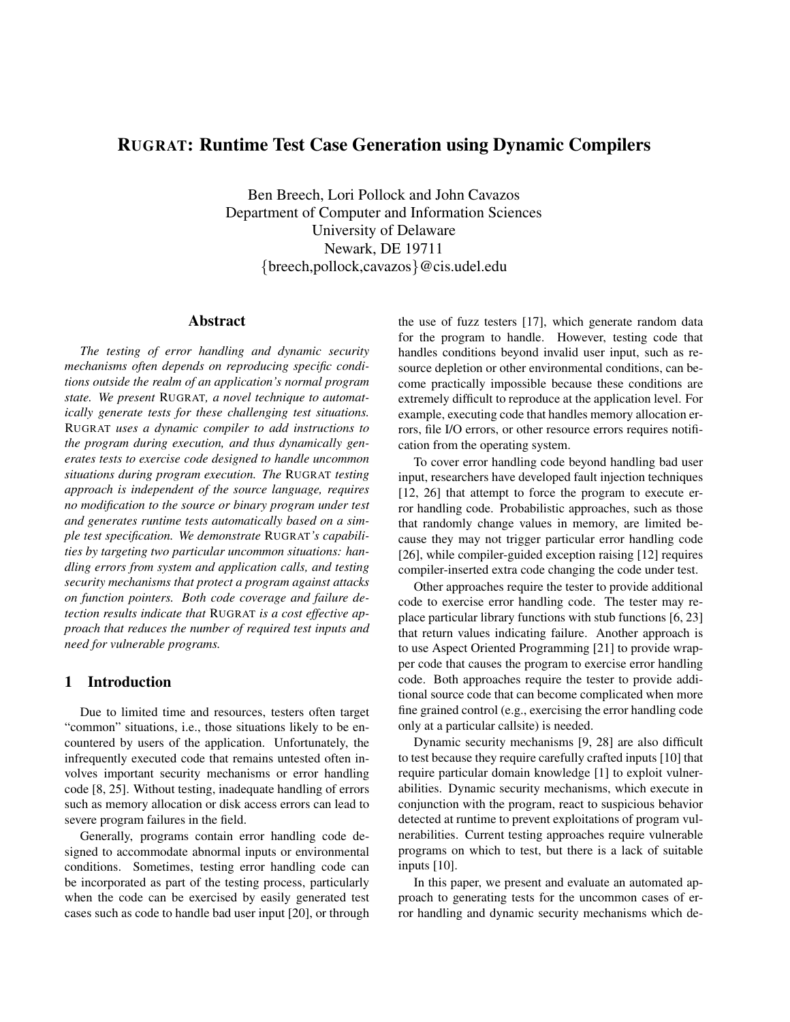# **RUGRAT: Runtime Test Case Generation using Dynamic Compilers**

Ben Breech, Lori Pollock and John Cavazos Department of Computer and Information Sciences University of Delaware Newark, DE 19711 {breech,pollock,cavazos}@cis.udel.edu

# **Abstract**

*The testing of error handling and dynamic security mechanisms often depends on reproducing specific conditions outside the realm of an application's normal program state. We present* RUGRAT*, a novel technique to automatically generate tests for these challenging test situations.* RUGRAT *uses a dynamic compiler to add instructions to the program during execution, and thus dynamically generates tests to exercise code designed to handle uncommon situations during program execution. The* RUGRAT *testing approach is independent of the source language, requires no modification to the source or binary program under test and generates runtime tests automatically based on a simple test specification. We demonstrate* RUGRAT*'s capabilities by targeting two particular uncommon situations: handling errors from system and application calls, and testing security mechanisms that protect a program against attacks on function pointers. Both code coverage and failure detection results indicate that* RUGRAT *is a cost effective approach that reduces the number of required test inputs and need for vulnerable programs.*

# **1 Introduction**

Due to limited time and resources, testers often target "common" situations, i.e., those situations likely to be encountered by users of the application. Unfortunately, the infrequently executed code that remains untested often involves important security mechanisms or error handling code [8, 25]. Without testing, inadequate handling of errors such as memory allocation or disk access errors can lead to severe program failures in the field.

Generally, programs contain error handling code designed to accommodate abnormal inputs or environmental conditions. Sometimes, testing error handling code can be incorporated as part of the testing process, particularly when the code can be exercised by easily generated test cases such as code to handle bad user input [20], or through

the use of fuzz testers [17], which generate random data for the program to handle. However, testing code that handles conditions beyond invalid user input, such as resource depletion or other environmental conditions, can become practically impossible because these conditions are extremely difficult to reproduce at the application level. For example, executing code that handles memory allocation errors, file I/O errors, or other resource errors requires notification from the operating system.

To cover error handling code beyond handling bad user input, researchers have developed fault injection techniques [12, 26] that attempt to force the program to execute error handling code. Probabilistic approaches, such as those that randomly change values in memory, are limited because they may not trigger particular error handling code [26], while compiler-guided exception raising [12] requires compiler-inserted extra code changing the code under test.

Other approaches require the tester to provide additional code to exercise error handling code. The tester may replace particular library functions with stub functions [6, 23] that return values indicating failure. Another approach is to use Aspect Oriented Programming [21] to provide wrapper code that causes the program to exercise error handling code. Both approaches require the tester to provide additional source code that can become complicated when more fine grained control (e.g., exercising the error handling code only at a particular callsite) is needed.

Dynamic security mechanisms [9, 28] are also difficult to test because they require carefully crafted inputs [10] that require particular domain knowledge [1] to exploit vulnerabilities. Dynamic security mechanisms, which execute in conjunction with the program, react to suspicious behavior detected at runtime to prevent exploitations of program vulnerabilities. Current testing approaches require vulnerable programs on which to test, but there is a lack of suitable inputs [10].

In this paper, we present and evaluate an automated approach to generating tests for the uncommon cases of error handling and dynamic security mechanisms which de-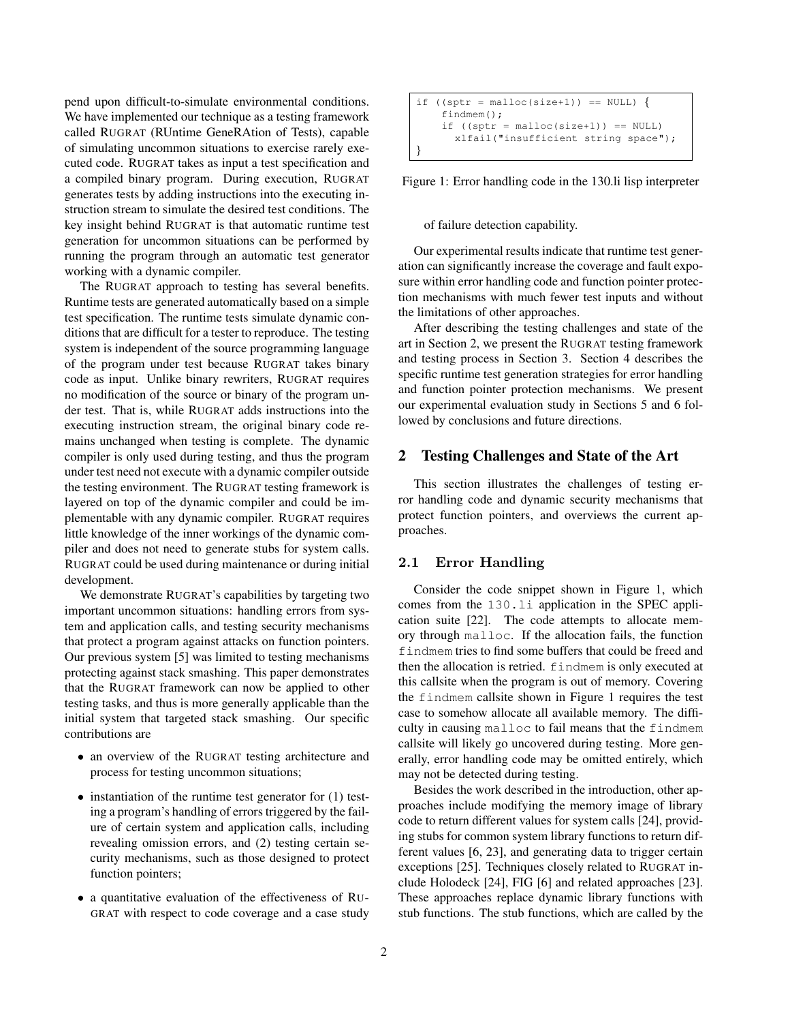pend upon difficult-to-simulate environmental conditions. We have implemented our technique as a testing framework called RUGRAT (RUntime GeneRAtion of Tests), capable of simulating uncommon situations to exercise rarely executed code. RUGRAT takes as input a test specification and a compiled binary program. During execution, RUGRAT generates tests by adding instructions into the executing instruction stream to simulate the desired test conditions. The key insight behind RUGRAT is that automatic runtime test generation for uncommon situations can be performed by running the program through an automatic test generator working with a dynamic compiler.

The RUGRAT approach to testing has several benefits. Runtime tests are generated automatically based on a simple test specification. The runtime tests simulate dynamic conditions that are difficult for a tester to reproduce. The testing system is independent of the source programming language of the program under test because RUGRAT takes binary code as input. Unlike binary rewriters, RUGRAT requires no modification of the source or binary of the program under test. That is, while RUGRAT adds instructions into the executing instruction stream, the original binary code remains unchanged when testing is complete. The dynamic compiler is only used during testing, and thus the program under test need not execute with a dynamic compiler outside the testing environment. The RUGRAT testing framework is layered on top of the dynamic compiler and could be implementable with any dynamic compiler. RUGRAT requires little knowledge of the inner workings of the dynamic compiler and does not need to generate stubs for system calls. RUGRAT could be used during maintenance or during initial development.

We demonstrate RUGRAT's capabilities by targeting two important uncommon situations: handling errors from system and application calls, and testing security mechanisms that protect a program against attacks on function pointers. Our previous system [5] was limited to testing mechanisms protecting against stack smashing. This paper demonstrates that the RUGRAT framework can now be applied to other testing tasks, and thus is more generally applicable than the initial system that targeted stack smashing. Our specific contributions are

- an overview of the RUGRAT testing architecture and process for testing uncommon situations;
- instantiation of the runtime test generator for (1) testing a program's handling of errors triggered by the failure of certain system and application calls, including revealing omission errors, and (2) testing certain security mechanisms, such as those designed to protect function pointers;
- a quantitative evaluation of the effectiveness of RU-GRAT with respect to code coverage and a case study

```
if ((sptr = malloc(size+1)) == NULL) {
    findmem();
    if ((sptr = malloc(size+1)) == NULL)xlfail("insufficient string space");
}
```
Figure 1: Error handling code in the 130.li lisp interpreter

#### of failure detection capability.

Our experimental results indicate that runtime test generation can significantly increase the coverage and fault exposure within error handling code and function pointer protection mechanisms with much fewer test inputs and without the limitations of other approaches.

After describing the testing challenges and state of the art in Section 2, we present the RUGRAT testing framework and testing process in Section 3. Section 4 describes the specific runtime test generation strategies for error handling and function pointer protection mechanisms. We present our experimental evaluation study in Sections 5 and 6 followed by conclusions and future directions.

#### **2 Testing Challenges and State of the Art**

This section illustrates the challenges of testing error handling code and dynamic security mechanisms that protect function pointers, and overviews the current approaches.

#### 2.1 Error Handling

Consider the code snippet shown in Figure 1, which comes from the 130.li application in the SPEC application suite [22]. The code attempts to allocate memory through malloc. If the allocation fails, the function findmem tries to find some buffers that could be freed and then the allocation is retried. findmem is only executed at this callsite when the program is out of memory. Covering the findmem callsite shown in Figure 1 requires the test case to somehow allocate all available memory. The difficulty in causing malloc to fail means that the findmem callsite will likely go uncovered during testing. More generally, error handling code may be omitted entirely, which may not be detected during testing.

Besides the work described in the introduction, other approaches include modifying the memory image of library code to return different values for system calls [24], providing stubs for common system library functions to return different values [6, 23], and generating data to trigger certain exceptions [25]. Techniques closely related to RUGRAT include Holodeck [24], FIG [6] and related approaches [23]. These approaches replace dynamic library functions with stub functions. The stub functions, which are called by the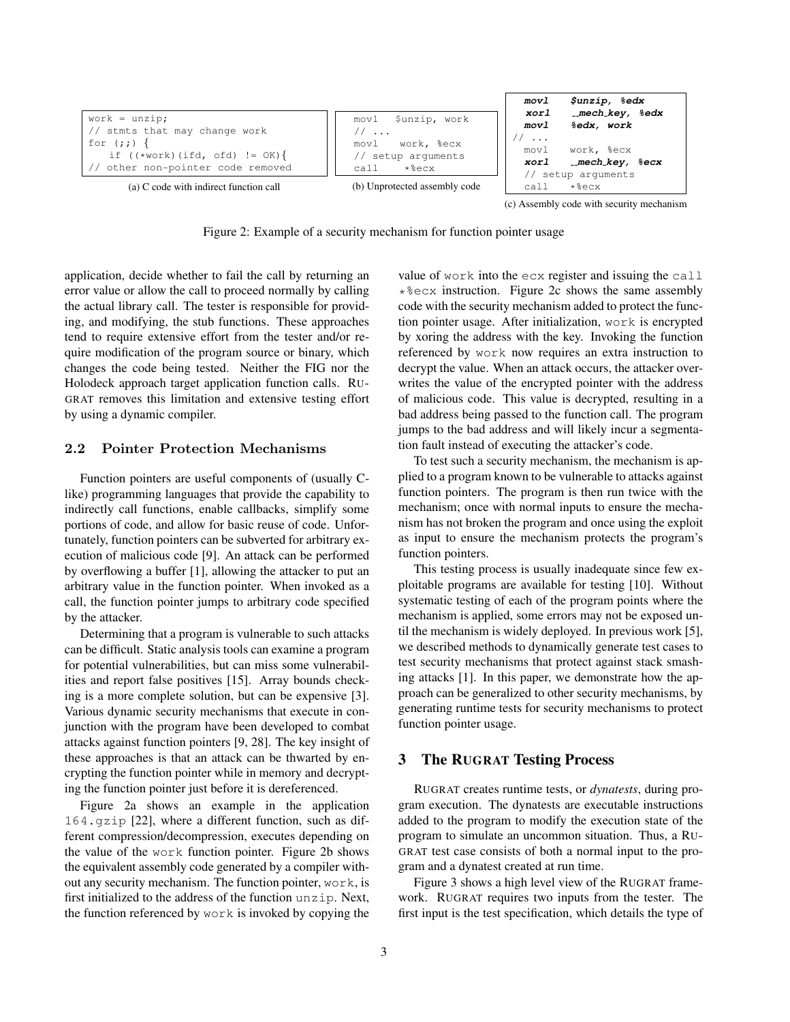

Figure 2: Example of a security mechanism for function pointer usage

application, decide whether to fail the call by returning an error value or allow the call to proceed normally by calling the actual library call. The tester is responsible for providing, and modifying, the stub functions. These approaches tend to require extensive effort from the tester and/or require modification of the program source or binary, which changes the code being tested. Neither the FIG nor the Holodeck approach target application function calls. RU-GRAT removes this limitation and extensive testing effort by using a dynamic compiler.

# 2.2 Pointer Protection Mechanisms

Function pointers are useful components of (usually Clike) programming languages that provide the capability to indirectly call functions, enable callbacks, simplify some portions of code, and allow for basic reuse of code. Unfortunately, function pointers can be subverted for arbitrary execution of malicious code [9]. An attack can be performed by overflowing a buffer [1], allowing the attacker to put an arbitrary value in the function pointer. When invoked as a call, the function pointer jumps to arbitrary code specified by the attacker.

Determining that a program is vulnerable to such attacks can be difficult. Static analysis tools can examine a program for potential vulnerabilities, but can miss some vulnerabilities and report false positives [15]. Array bounds checking is a more complete solution, but can be expensive [3]. Various dynamic security mechanisms that execute in conjunction with the program have been developed to combat attacks against function pointers [9, 28]. The key insight of these approaches is that an attack can be thwarted by encrypting the function pointer while in memory and decrypting the function pointer just before it is dereferenced.

Figure 2a shows an example in the application 164.gzip [22], where a different function, such as different compression/decompression, executes depending on the value of the work function pointer. Figure 2b shows the equivalent assembly code generated by a compiler without any security mechanism. The function pointer, work, is first initialized to the address of the function unzip. Next, the function referenced by work is invoked by copying the value of work into the ecx register and issuing the call  $*$   $*$  ecx instruction. Figure 2c shows the same assembly code with the security mechanism added to protect the function pointer usage. After initialization, work is encrypted by xoring the address with the key. Invoking the function referenced by work now requires an extra instruction to decrypt the value. When an attack occurs, the attacker overwrites the value of the encrypted pointer with the address of malicious code. This value is decrypted, resulting in a bad address being passed to the function call. The program jumps to the bad address and will likely incur a segmentation fault instead of executing the attacker's code.

To test such a security mechanism, the mechanism is applied to a program known to be vulnerable to attacks against function pointers. The program is then run twice with the mechanism; once with normal inputs to ensure the mechanism has not broken the program and once using the exploit as input to ensure the mechanism protects the program's function pointers.

This testing process is usually inadequate since few exploitable programs are available for testing [10]. Without systematic testing of each of the program points where the mechanism is applied, some errors may not be exposed until the mechanism is widely deployed. In previous work [5], we described methods to dynamically generate test cases to test security mechanisms that protect against stack smashing attacks [1]. In this paper, we demonstrate how the approach can be generalized to other security mechanisms, by generating runtime tests for security mechanisms to protect function pointer usage.

### **3 The RUGRAT Testing Process**

RUGRAT creates runtime tests, or *dynatests*, during program execution. The dynatests are executable instructions added to the program to modify the execution state of the program to simulate an uncommon situation. Thus, a RU-GRAT test case consists of both a normal input to the program and a dynatest created at run time.

Figure 3 shows a high level view of the RUGRAT framework. RUGRAT requires two inputs from the tester. The first input is the test specification, which details the type of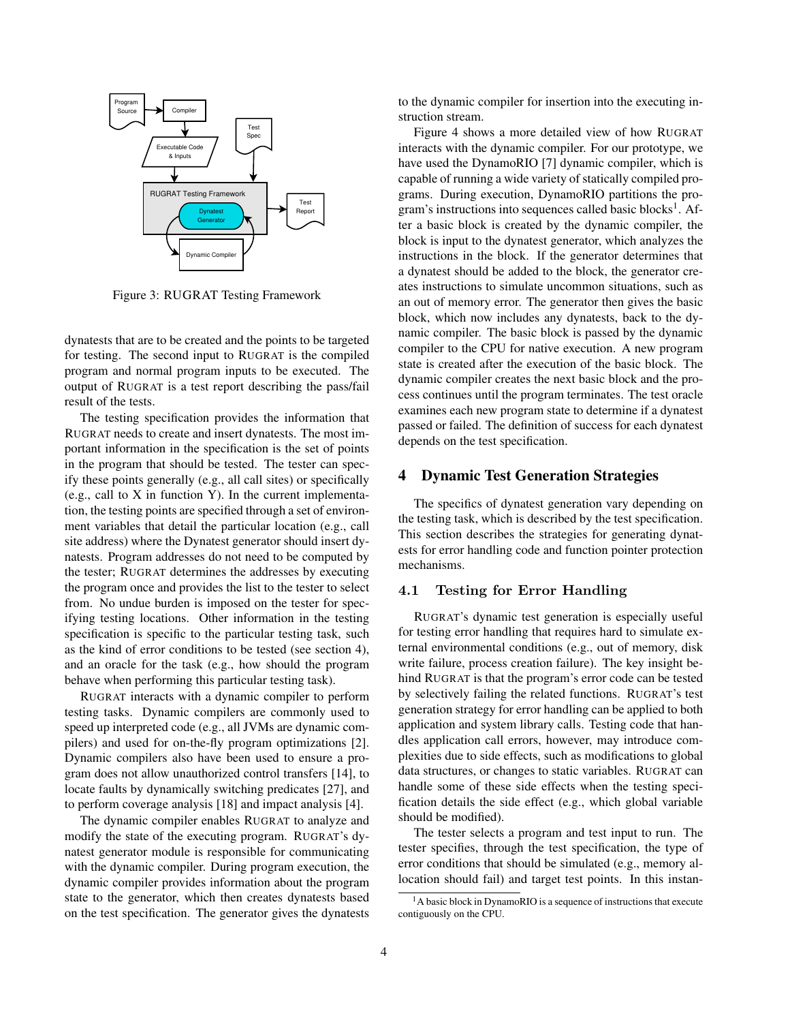

Figure 3: RUGRAT Testing Framework

dynatests that are to be created and the points to be targeted for testing. The second input to RUGRAT is the compiled program and normal program inputs to be executed. The output of RUGRAT is a test report describing the pass/fail result of the tests.

The testing specification provides the information that RUGRAT needs to create and insert dynatests. The most important information in the specification is the set of points in the program that should be tested. The tester can specify these points generally (e.g., all call sites) or specifically (e.g., call to X in function Y). In the current implementation, the testing points are specified through a set of environment variables that detail the particular location (e.g., call site address) where the Dynatest generator should insert dynatests. Program addresses do not need to be computed by the tester; RUGRAT determines the addresses by executing the program once and provides the list to the tester to select from. No undue burden is imposed on the tester for specifying testing locations. Other information in the testing specification is specific to the particular testing task, such as the kind of error conditions to be tested (see section 4), and an oracle for the task (e.g., how should the program behave when performing this particular testing task).

RUGRAT interacts with a dynamic compiler to perform testing tasks. Dynamic compilers are commonly used to speed up interpreted code (e.g., all JVMs are dynamic compilers) and used for on-the-fly program optimizations [2]. Dynamic compilers also have been used to ensure a program does not allow unauthorized control transfers [14], to locate faults by dynamically switching predicates [27], and to perform coverage analysis [18] and impact analysis [4].

The dynamic compiler enables RUGRAT to analyze and modify the state of the executing program. RUGRAT's dynatest generator module is responsible for communicating with the dynamic compiler. During program execution, the dynamic compiler provides information about the program state to the generator, which then creates dynatests based on the test specification. The generator gives the dynatests to the dynamic compiler for insertion into the executing instruction stream.

Figure 4 shows a more detailed view of how RUGRAT interacts with the dynamic compiler. For our prototype, we have used the DynamoRIO [7] dynamic compiler, which is capable of running a wide variety of statically compiled programs. During execution, DynamoRIO partitions the program's instructions into sequences called basic blocks<sup>1</sup>. After a basic block is created by the dynamic compiler, the block is input to the dynatest generator, which analyzes the instructions in the block. If the generator determines that a dynatest should be added to the block, the generator creates instructions to simulate uncommon situations, such as an out of memory error. The generator then gives the basic block, which now includes any dynatests, back to the dynamic compiler. The basic block is passed by the dynamic compiler to the CPU for native execution. A new program state is created after the execution of the basic block. The dynamic compiler creates the next basic block and the process continues until the program terminates. The test oracle examines each new program state to determine if a dynatest passed or failed. The definition of success for each dynatest depends on the test specification.

### **4 Dynamic Test Generation Strategies**

The specifics of dynatest generation vary depending on the testing task, which is described by the test specification. This section describes the strategies for generating dynatests for error handling code and function pointer protection mechanisms.

## 4.1 Testing for Error Handling

RUGRAT's dynamic test generation is especially useful for testing error handling that requires hard to simulate external environmental conditions (e.g., out of memory, disk write failure, process creation failure). The key insight behind RUGRAT is that the program's error code can be tested by selectively failing the related functions. RUGRAT's test generation strategy for error handling can be applied to both application and system library calls. Testing code that handles application call errors, however, may introduce complexities due to side effects, such as modifications to global data structures, or changes to static variables. RUGRAT can handle some of these side effects when the testing specification details the side effect (e.g., which global variable should be modified).

The tester selects a program and test input to run. The tester specifies, through the test specification, the type of error conditions that should be simulated (e.g., memory allocation should fail) and target test points. In this instan-

<sup>&</sup>lt;sup>1</sup>A basic block in DynamoRIO is a sequence of instructions that execute contiguously on the CPU.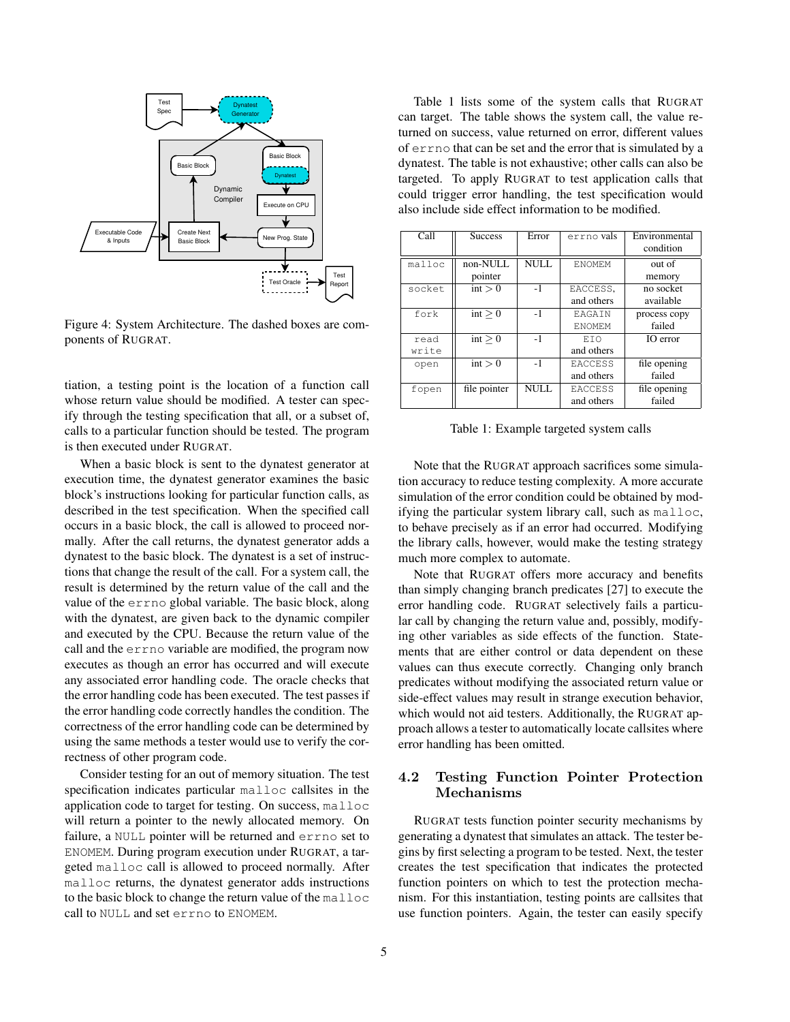

Figure 4: System Architecture. The dashed boxes are components of RUGRAT.

tiation, a testing point is the location of a function call whose return value should be modified. A tester can specify through the testing specification that all, or a subset of, calls to a particular function should be tested. The program is then executed under RUGRAT.

When a basic block is sent to the dynatest generator at execution time, the dynatest generator examines the basic block's instructions looking for particular function calls, as described in the test specification. When the specified call occurs in a basic block, the call is allowed to proceed normally. After the call returns, the dynatest generator adds a dynatest to the basic block. The dynatest is a set of instructions that change the result of the call. For a system call, the result is determined by the return value of the call and the value of the errno global variable. The basic block, along with the dynatest, are given back to the dynamic compiler and executed by the CPU. Because the return value of the call and the errno variable are modified, the program now executes as though an error has occurred and will execute any associated error handling code. The oracle checks that the error handling code has been executed. The test passes if the error handling code correctly handles the condition. The correctness of the error handling code can be determined by using the same methods a tester would use to verify the correctness of other program code.

Consider testing for an out of memory situation. The test specification indicates particular malloc callsites in the application code to target for testing. On success, malloc will return a pointer to the newly allocated memory. On failure, a NULL pointer will be returned and errno set to ENOMEM. During program execution under RUGRAT, a targeted malloc call is allowed to proceed normally. After malloc returns, the dynatest generator adds instructions to the basic block to change the return value of the malloc call to NULL and set errno to ENOMEM.

Table 1 lists some of the system calls that RUGRAT can target. The table shows the system call, the value returned on success, value returned on error, different values of errno that can be set and the error that is simulated by a dynatest. The table is not exhaustive; other calls can also be targeted. To apply RUGRAT to test application calls that could trigger error handling, the test specification would also include side effect information to be modified.

| Call   | <b>Success</b> | Error       | errno vals      | Environmental |
|--------|----------------|-------------|-----------------|---------------|
|        |                |             |                 | condition     |
| malloc | non-NULL       | NULL        | <b>F.NOMF.M</b> | out of        |
|        | pointer        |             |                 | memory        |
| socket | int > 0        | $-1$        | EACCESS.        | no socket     |
|        |                |             | and others      | available     |
| fork   | int > 0        | $-1$        | <b>EAGAIN</b>   | process copy  |
|        |                |             | <b>F.NOMF.M</b> | failed        |
| read   | int > 0        | $-1$        | <b>ETO</b>      | IO error      |
| write  |                |             | and others      |               |
| open   | int > 0        | $-1$        | <b>EACCESS</b>  | file opening  |
|        |                |             | and others      | failed        |
| fopen  | file pointer   | <b>NULL</b> | <b>EACCESS</b>  | file opening  |
|        |                |             | and others      | failed        |

Table 1: Example targeted system calls

Note that the RUGRAT approach sacrifices some simulation accuracy to reduce testing complexity. A more accurate simulation of the error condition could be obtained by modifying the particular system library call, such as malloc, to behave precisely as if an error had occurred. Modifying the library calls, however, would make the testing strategy much more complex to automate.

Note that RUGRAT offers more accuracy and benefits than simply changing branch predicates [27] to execute the error handling code. RUGRAT selectively fails a particular call by changing the return value and, possibly, modifying other variables as side effects of the function. Statements that are either control or data dependent on these values can thus execute correctly. Changing only branch predicates without modifying the associated return value or side-effect values may result in strange execution behavior, which would not aid testers. Additionally, the RUGRAT approach allows a tester to automatically locate callsites where error handling has been omitted.

# 4.2 Testing Function Pointer Protection Mechanisms

RUGRAT tests function pointer security mechanisms by generating a dynatest that simulates an attack. The tester begins by first selecting a program to be tested. Next, the tester creates the test specification that indicates the protected function pointers on which to test the protection mechanism. For this instantiation, testing points are callsites that use function pointers. Again, the tester can easily specify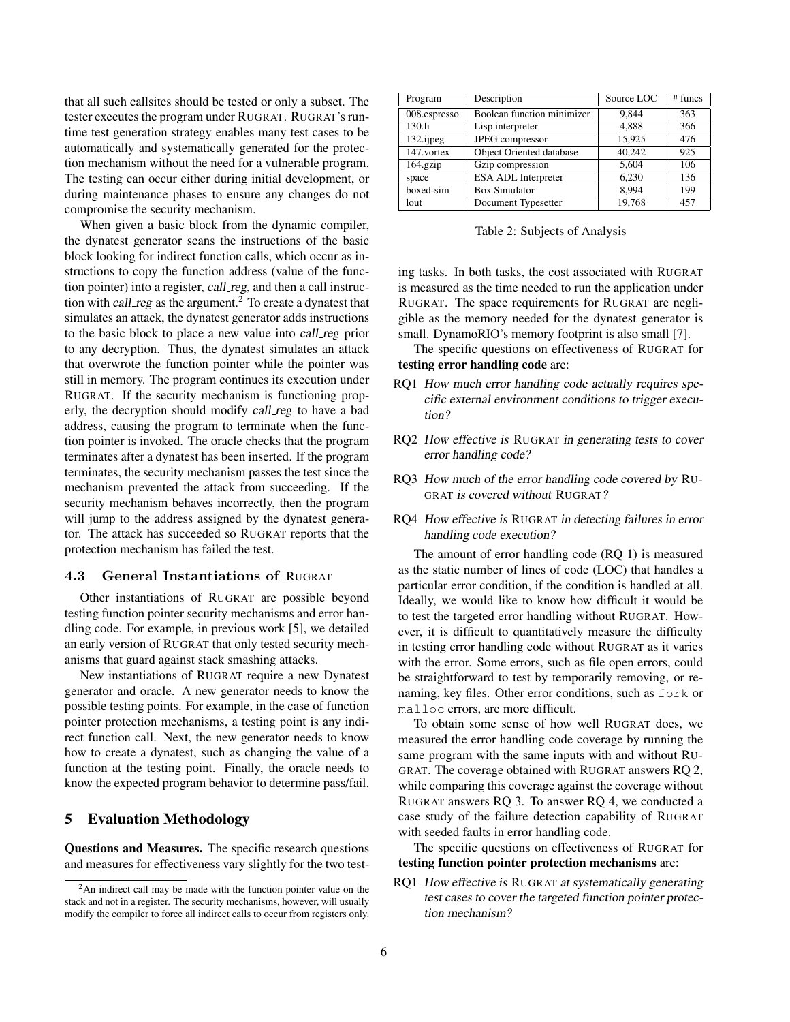that all such callsites should be tested or only a subset. The tester executes the program under RUGRAT. RUGRAT's runtime test generation strategy enables many test cases to be automatically and systematically generated for the protection mechanism without the need for a vulnerable program. The testing can occur either during initial development, or during maintenance phases to ensure any changes do not compromise the security mechanism.

When given a basic block from the dynamic compiler, the dynatest generator scans the instructions of the basic block looking for indirect function calls, which occur as instructions to copy the function address (value of the function pointer) into a register, call\_reg, and then a call instruction with *call\_reg* as the argument.<sup>2</sup> To create a dynatest that simulates an attack, the dynatest generator adds instructions to the basic block to place a new value into call reg prior to any decryption. Thus, the dynatest simulates an attack that overwrote the function pointer while the pointer was still in memory. The program continues its execution under RUGRAT. If the security mechanism is functioning properly, the decryption should modify call reg to have a bad address, causing the program to terminate when the function pointer is invoked. The oracle checks that the program terminates after a dynatest has been inserted. If the program terminates, the security mechanism passes the test since the mechanism prevented the attack from succeeding. If the security mechanism behaves incorrectly, then the program will jump to the address assigned by the dynatest generator. The attack has succeeded so RUGRAT reports that the protection mechanism has failed the test.

# 4.3 General Instantiations of RUGRAT

Other instantiations of RUGRAT are possible beyond testing function pointer security mechanisms and error handling code. For example, in previous work [5], we detailed an early version of RUGRAT that only tested security mechanisms that guard against stack smashing attacks.

New instantiations of RUGRAT require a new Dynatest generator and oracle. A new generator needs to know the possible testing points. For example, in the case of function pointer protection mechanisms, a testing point is any indirect function call. Next, the new generator needs to know how to create a dynatest, such as changing the value of a function at the testing point. Finally, the oracle needs to know the expected program behavior to determine pass/fail.

# **5 Evaluation Methodology**

**Questions and Measures.** The specific research questions and measures for effectiveness vary slightly for the two test-

| Program      | Description                | Source LOC | $#$ funcs |
|--------------|----------------------------|------------|-----------|
| 008.espresso | Boolean function minimizer | 9.844      | 363       |
| 130.li       | Lisp interpreter           | 4,888      | 366       |
| $132$ .ijpeg | JPEG compressor            | 15,925     | 476       |
| 147.vortex   | Object Oriented database   | 40.242     | 925       |
| $164$ .gzip  | Gzip compression           | 5,604      | 106       |
| space        | <b>ESA ADL Interpreter</b> | 6.230      | 136       |
| boxed-sim    | <b>Box Simulator</b>       | 8.994      | 199       |
| lout         | Document Typesetter        | 19,768     | 457       |

Table 2: Subjects of Analysis

ing tasks. In both tasks, the cost associated with RUGRAT is measured as the time needed to run the application under RUGRAT. The space requirements for RUGRAT are negligible as the memory needed for the dynatest generator is small. DynamoRIO's memory footprint is also small [7].

The specific questions on effectiveness of RUGRAT for **testing error handling code** are:

- RQ1 How much error handling code actually requires specific external environment conditions to trigger execution?
- RQ2 How effective is RUGRAT in generating tests to cover error handling code?
- RQ3 How much of the error handling code covered by RU-GRAT is covered without RUGRAT?
- RQ4 How effective is RUGRAT in detecting failures in error handling code execution?

The amount of error handling code (RQ 1) is measured as the static number of lines of code (LOC) that handles a particular error condition, if the condition is handled at all. Ideally, we would like to know how difficult it would be to test the targeted error handling without RUGRAT. However, it is difficult to quantitatively measure the difficulty in testing error handling code without RUGRAT as it varies with the error. Some errors, such as file open errors, could be straightforward to test by temporarily removing, or renaming, key files. Other error conditions, such as fork or malloc errors, are more difficult.

To obtain some sense of how well RUGRAT does, we measured the error handling code coverage by running the same program with the same inputs with and without RU-GRAT. The coverage obtained with RUGRAT answers RQ 2, while comparing this coverage against the coverage without RUGRAT answers RQ 3. To answer RQ 4, we conducted a case study of the failure detection capability of RUGRAT with seeded faults in error handling code.

The specific questions on effectiveness of RUGRAT for **testing function pointer protection mechanisms** are:

RQ1 How effective is RUGRAT at systematically generating test cases to cover the targeted function pointer protection mechanism?

<sup>&</sup>lt;sup>2</sup>An indirect call may be made with the function pointer value on the stack and not in a register. The security mechanisms, however, will usually modify the compiler to force all indirect calls to occur from registers only.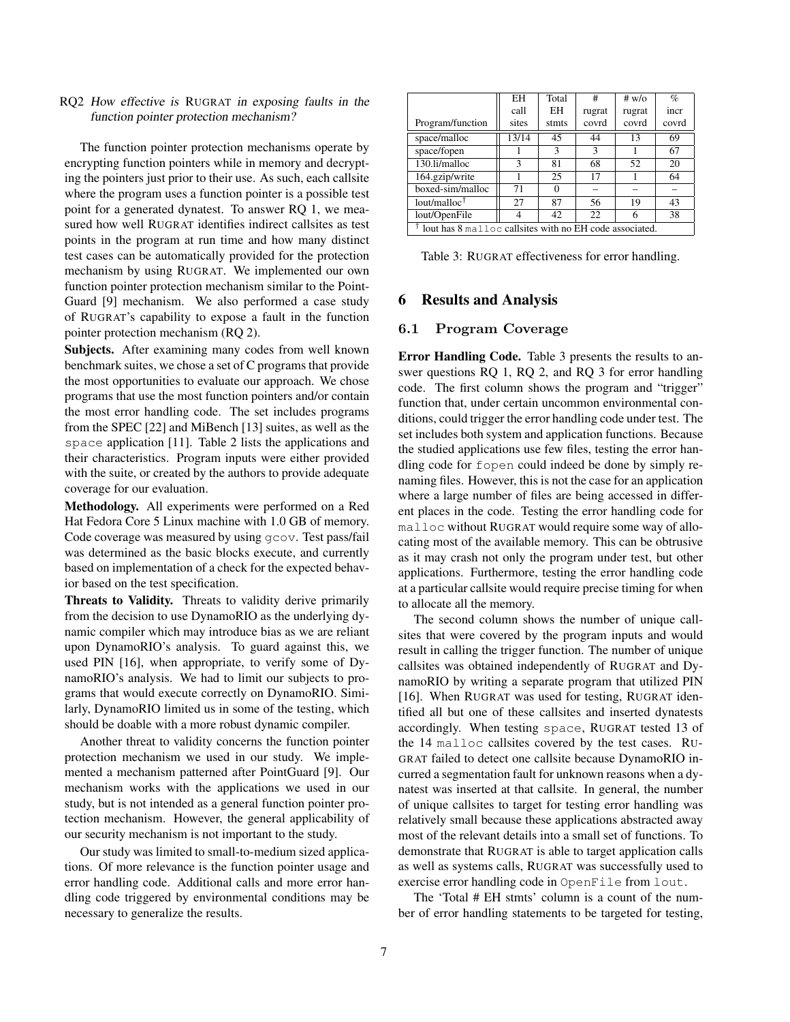#### RQ2 How effective is RUGRAT in exposing faults in the function pointer protection mechanism?

The function pointer protection mechanisms operate by encrypting function pointers while in memory and decrypting the pointers just prior to their use. As such, each callsite where the program uses a function pointer is a possible test point for a generated dynatest. To answer RQ 1, we measured how well RUGRAT identifies indirect callsites as test points in the program at run time and how many distinct test cases can be automatically provided for the protection mechanism by using RUGRAT. We implemented our own function pointer protection mechanism similar to the Point-Guard [9] mechanism. We also performed a case study of RUGRAT's capability to expose a fault in the function pointer protection mechanism (RQ 2).

**Subjects.** After examining many codes from well known benchmark suites, we chose a set of C programs that provide the most opportunities to evaluate our approach. We chose programs that use the most function pointers and/or contain the most error handling code. The set includes programs from the SPEC [22] and MiBench [13] suites, as well as the space application [11]. Table 2 lists the applications and their characteristics. Program inputs were either provided with the suite, or created by the authors to provide adequate coverage for our evaluation.

**Methodology.** All experiments were performed on a Red Hat Fedora Core 5 Linux machine with 1.0 GB of memory. Code coverage was measured by using gcov. Test pass/fail was determined as the basic blocks execute, and currently based on implementation of a check for the expected behavior based on the test specification.

**Threats to Validity.** Threats to validity derive primarily from the decision to use DynamoRIO as the underlying dynamic compiler which may introduce bias as we are reliant upon DynamoRIO's analysis. To guard against this, we used PIN [16], when appropriate, to verify some of DynamoRIO's analysis. We had to limit our subjects to programs that would execute correctly on DynamoRIO. Similarly, DynamoRIO limited us in some of the testing, which should be doable with a more robust dynamic compiler.

Another threat to validity concerns the function pointer protection mechanism we used in our study. We implemented a mechanism patterned after PointGuard [9]. Our mechanism works with the applications we used in our study, but is not intended as a general function pointer protection mechanism. However, the general applicability of our security mechanism is not important to the study.

Our study was limited to small-to-medium sized applications. Of more relevance is the function pointer usage and error handling code. Additional calls and more error handling code triggered by environmental conditions may be necessary to generalize the results.

|                                                         | EН    | Total | #      | # $w$ / $\circ$ | $\%$  |
|---------------------------------------------------------|-------|-------|--------|-----------------|-------|
|                                                         | call  | EH    | rugrat | rugrat          | incr  |
| Program/function                                        | sites | stmts | covrd  | covrd           | covrd |
| space/malloc                                            | 13/14 | 45    | 44     | 13              | 69    |
| space/fopen                                             |       | 3     | 3      |                 | 67    |
| 130.li/malloc                                           | 3     | 81    | 68     | 52              | 20    |
| 164.gzip/write                                          |       | 25    | 17     |                 | 64    |
| boxed-sim/malloc                                        | 71    |       |        |                 |       |
| lout/malloc $\dagger$                                   | 27    | 87    | 56     | 19              | 43    |
| lout/OpenFile                                           |       | 42    | 22     | 6               | 38    |
| lout has 8 malloc callsites with no EH code associated. |       |       |        |                 |       |

Table 3: RUGRAT effectiveness for error handling.

### **6 Results and Analysis**

#### 6.1 Program Coverage

**Error Handling Code.** Table 3 presents the results to answer questions RQ 1, RQ 2, and RQ 3 for error handling code. The first column shows the program and "trigger" function that, under certain uncommon environmental conditions, could trigger the error handling code under test. The set includes both system and application functions. Because the studied applications use few files, testing the error handling code for fopen could indeed be done by simply renaming files. However, this is not the case for an application where a large number of files are being accessed in different places in the code. Testing the error handling code for malloc without RUGRAT would require some way of allocating most of the available memory. This can be obtrusive as it may crash not only the program under test, but other applications. Furthermore, testing the error handling code at a particular callsite would require precise timing for when to allocate all the memory.

The second column shows the number of unique callsites that were covered by the program inputs and would result in calling the trigger function. The number of unique callsites was obtained independently of RUGRAT and DynamoRIO by writing a separate program that utilized PIN [16]. When RUGRAT was used for testing, RUGRAT identified all but one of these callsites and inserted dynatests accordingly. When testing space, RUGRAT tested 13 of the 14 malloc callsites covered by the test cases. RU-GRAT failed to detect one callsite because DynamoRIO incurred a segmentation fault for unknown reasons when a dynatest was inserted at that callsite. In general, the number of unique callsites to target for testing error handling was relatively small because these applications abstracted away most of the relevant details into a small set of functions. To demonstrate that RUGRAT is able to target application calls as well as systems calls, RUGRAT was successfully used to exercise error handling code in OpenFile from lout.

The 'Total # EH stmts' column is a count of the number of error handling statements to be targeted for testing,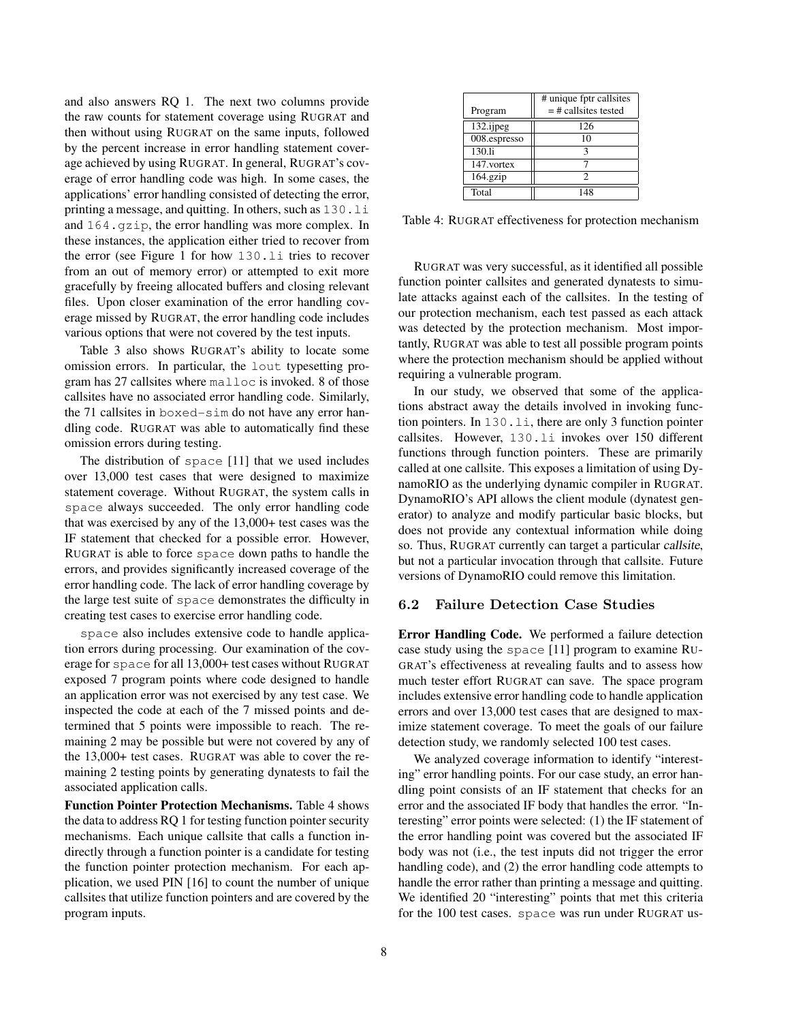and also answers RQ 1. The next two columns provide the raw counts for statement coverage using RUGRAT and then without using RUGRAT on the same inputs, followed by the percent increase in error handling statement coverage achieved by using RUGRAT. In general, RUGRAT's coverage of error handling code was high. In some cases, the applications' error handling consisted of detecting the error, printing a message, and quitting. In others, such as 130.li and 164.gzip, the error handling was more complex. In these instances, the application either tried to recover from the error (see Figure 1 for how 130.li tries to recover from an out of memory error) or attempted to exit more gracefully by freeing allocated buffers and closing relevant files. Upon closer examination of the error handling coverage missed by RUGRAT, the error handling code includes various options that were not covered by the test inputs.

Table 3 also shows RUGRAT's ability to locate some omission errors. In particular, the lout typesetting program has 27 callsites where malloc is invoked. 8 of those callsites have no associated error handling code. Similarly, the 71 callsites in boxed-sim do not have any error handling code. RUGRAT was able to automatically find these omission errors during testing.

The distribution of space [11] that we used includes over 13,000 test cases that were designed to maximize statement coverage. Without RUGRAT, the system calls in space always succeeded. The only error handling code that was exercised by any of the 13,000+ test cases was the IF statement that checked for a possible error. However, RUGRAT is able to force space down paths to handle the errors, and provides significantly increased coverage of the error handling code. The lack of error handling coverage by the large test suite of space demonstrates the difficulty in creating test cases to exercise error handling code.

space also includes extensive code to handle application errors during processing. Our examination of the coverage for space for all 13,000+ test cases without RUGRAT exposed 7 program points where code designed to handle an application error was not exercised by any test case. We inspected the code at each of the 7 missed points and determined that 5 points were impossible to reach. The remaining 2 may be possible but were not covered by any of the 13,000+ test cases. RUGRAT was able to cover the remaining 2 testing points by generating dynatests to fail the associated application calls.

**Function Pointer Protection Mechanisms.** Table 4 shows the data to address RQ 1 for testing function pointer security mechanisms. Each unique callsite that calls a function indirectly through a function pointer is a candidate for testing the function pointer protection mechanism. For each application, we used PIN [16] to count the number of unique callsites that utilize function pointers and are covered by the program inputs.

|              | # unique fptr callsites |  |  |
|--------------|-------------------------|--|--|
| Program      | $=$ # callsites tested  |  |  |
| $132$ .ijpeg | 126                     |  |  |
| 008.espresso | 10                      |  |  |
| 130.li       |                         |  |  |
| 147.vortex   |                         |  |  |
| $164$ .gzip  | 7                       |  |  |
| Total        | 148                     |  |  |

Table 4: RUGRAT effectiveness for protection mechanism

RUGRAT was very successful, as it identified all possible function pointer callsites and generated dynatests to simulate attacks against each of the callsites. In the testing of our protection mechanism, each test passed as each attack was detected by the protection mechanism. Most importantly, RUGRAT was able to test all possible program points where the protection mechanism should be applied without requiring a vulnerable program.

In our study, we observed that some of the applications abstract away the details involved in invoking function pointers. In  $130$ ,  $1\text{i}$ , there are only 3 function pointer callsites. However, 130.li invokes over 150 different functions through function pointers. These are primarily called at one callsite. This exposes a limitation of using DynamoRIO as the underlying dynamic compiler in RUGRAT. DynamoRIO's API allows the client module (dynatest generator) to analyze and modify particular basic blocks, but does not provide any contextual information while doing so. Thus, RUGRAT currently can target a particular callsite, but not a particular invocation through that callsite. Future versions of DynamoRIO could remove this limitation.

### 6.2 Failure Detection Case Studies

**Error Handling Code.** We performed a failure detection case study using the space [11] program to examine RU-GRAT's effectiveness at revealing faults and to assess how much tester effort RUGRAT can save. The space program includes extensive error handling code to handle application errors and over 13,000 test cases that are designed to maximize statement coverage. To meet the goals of our failure detection study, we randomly selected 100 test cases.

We analyzed coverage information to identify "interesting" error handling points. For our case study, an error handling point consists of an IF statement that checks for an error and the associated IF body that handles the error. "Interesting" error points were selected: (1) the IF statement of the error handling point was covered but the associated IF body was not (i.e., the test inputs did not trigger the error handling code), and (2) the error handling code attempts to handle the error rather than printing a message and quitting. We identified 20 "interesting" points that met this criteria for the 100 test cases. space was run under RUGRAT us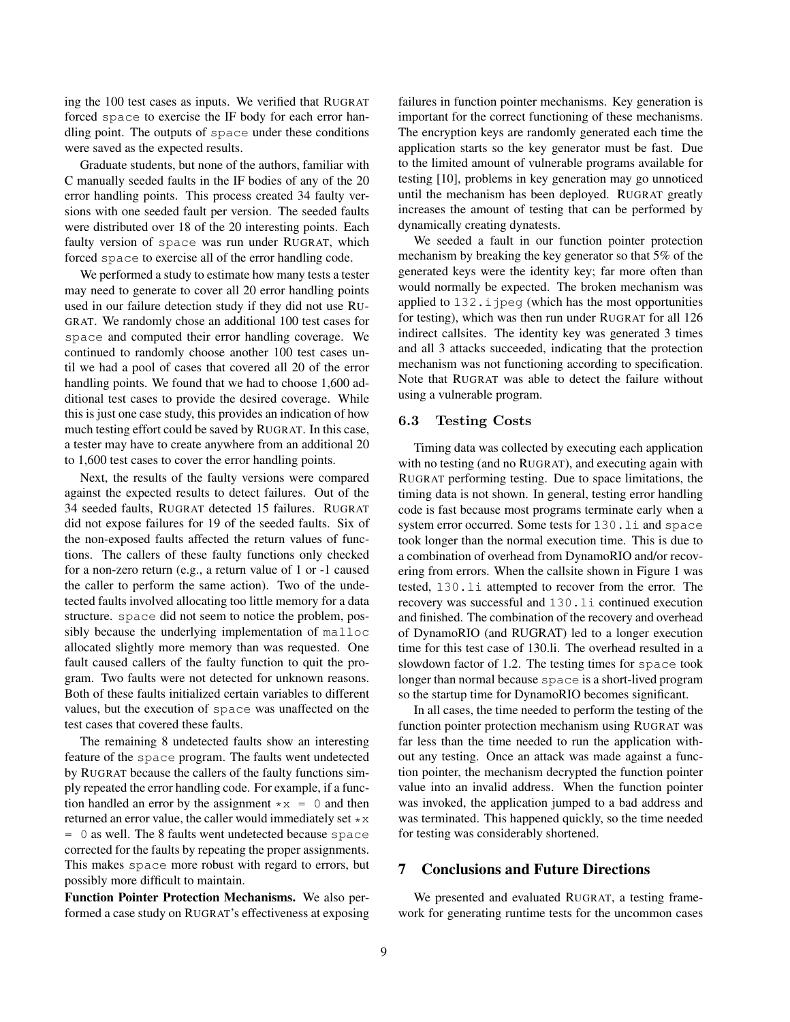ing the 100 test cases as inputs. We verified that RUGRAT forced space to exercise the IF body for each error handling point. The outputs of space under these conditions were saved as the expected results.

Graduate students, but none of the authors, familiar with C manually seeded faults in the IF bodies of any of the 20 error handling points. This process created 34 faulty versions with one seeded fault per version. The seeded faults were distributed over 18 of the 20 interesting points. Each faulty version of space was run under RUGRAT, which forced space to exercise all of the error handling code.

We performed a study to estimate how many tests a tester may need to generate to cover all 20 error handling points used in our failure detection study if they did not use RU-GRAT. We randomly chose an additional 100 test cases for space and computed their error handling coverage. We continued to randomly choose another 100 test cases until we had a pool of cases that covered all 20 of the error handling points. We found that we had to choose 1,600 additional test cases to provide the desired coverage. While this is just one case study, this provides an indication of how much testing effort could be saved by RUGRAT. In this case, a tester may have to create anywhere from an additional 20 to 1,600 test cases to cover the error handling points.

Next, the results of the faulty versions were compared against the expected results to detect failures. Out of the 34 seeded faults, RUGRAT detected 15 failures. RUGRAT did not expose failures for 19 of the seeded faults. Six of the non-exposed faults affected the return values of functions. The callers of these faulty functions only checked for a non-zero return (e.g., a return value of 1 or -1 caused the caller to perform the same action). Two of the undetected faults involved allocating too little memory for a data structure. space did not seem to notice the problem, possibly because the underlying implementation of malloc allocated slightly more memory than was requested. One fault caused callers of the faulty function to quit the program. Two faults were not detected for unknown reasons. Both of these faults initialized certain variables to different values, but the execution of space was unaffected on the test cases that covered these faults.

The remaining 8 undetected faults show an interesting feature of the space program. The faults went undetected by RUGRAT because the callers of the faulty functions simply repeated the error handling code. For example, if a function handled an error by the assignment  $\star x = 0$  and then returned an error value, the caller would immediately set \*x  $= 0$  as well. The 8 faults went undetected because space corrected for the faults by repeating the proper assignments. This makes space more robust with regard to errors, but possibly more difficult to maintain.

**Function Pointer Protection Mechanisms.** We also performed a case study on RUGRAT's effectiveness at exposing failures in function pointer mechanisms. Key generation is important for the correct functioning of these mechanisms. The encryption keys are randomly generated each time the application starts so the key generator must be fast. Due to the limited amount of vulnerable programs available for testing [10], problems in key generation may go unnoticed until the mechanism has been deployed. RUGRAT greatly increases the amount of testing that can be performed by dynamically creating dynatests.

We seeded a fault in our function pointer protection mechanism by breaking the key generator so that 5% of the generated keys were the identity key; far more often than would normally be expected. The broken mechanism was applied to  $132$ . i jpeg (which has the most opportunities for testing), which was then run under RUGRAT for all 126 indirect callsites. The identity key was generated 3 times and all 3 attacks succeeded, indicating that the protection mechanism was not functioning according to specification. Note that RUGRAT was able to detect the failure without using a vulnerable program.

#### 6.3 Testing Costs

Timing data was collected by executing each application with no testing (and no RUGRAT), and executing again with RUGRAT performing testing. Due to space limitations, the timing data is not shown. In general, testing error handling code is fast because most programs terminate early when a system error occurred. Some tests for 130.li and space took longer than the normal execution time. This is due to a combination of overhead from DynamoRIO and/or recovering from errors. When the callsite shown in Figure 1 was tested, 130.li attempted to recover from the error. The recovery was successful and 130.li continued execution and finished. The combination of the recovery and overhead of DynamoRIO (and RUGRAT) led to a longer execution time for this test case of 130.li. The overhead resulted in a slowdown factor of 1.2. The testing times for space took longer than normal because space is a short-lived program so the startup time for DynamoRIO becomes significant.

In all cases, the time needed to perform the testing of the function pointer protection mechanism using RUGRAT was far less than the time needed to run the application without any testing. Once an attack was made against a function pointer, the mechanism decrypted the function pointer value into an invalid address. When the function pointer was invoked, the application jumped to a bad address and was terminated. This happened quickly, so the time needed for testing was considerably shortened.

### **7 Conclusions and Future Directions**

We presented and evaluated RUGRAT, a testing framework for generating runtime tests for the uncommon cases